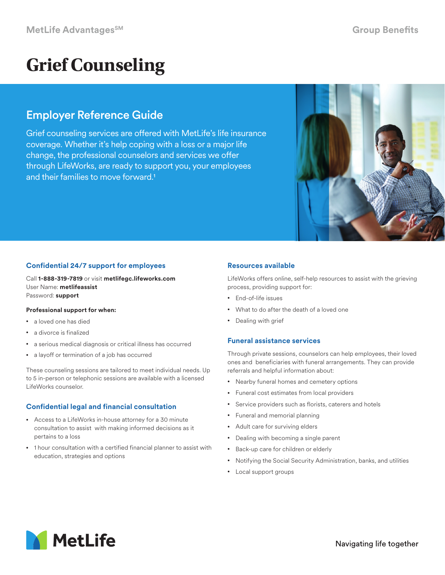# **Grief Counseling**

# Employer Reference Guide

Grief counseling services are offered with MetLife's life insurance coverage. Whether it's help coping with a loss or a major life change, the professional counselors and services we offer through LifeWorks, are ready to support you, your employees and their families to move forward.1



# **Confidential 24/7 support for employees**

Call **1-888-319-7819** or visit **metlifegc.lifeworks.com** User Name: **metlifeassist** Password: **support**

#### **Professional support for when:**

- a loved one has died
- a divorce is finalized
- a serious medical diagnosis or critical illness has occurred
- a layoff or termination of a job has occurred

These counseling sessions are tailored to meet individual needs. Up to 5 in-person or telephonic sessions are available with a licensed LifeWorks counselor.

# **Confidential legal and financial consultation**

- Access to a LifeWorks in-house attorney for a 30 minute consultation to assist with making informed decisions as it pertains to a loss
- 1 hour consultation with a certified financial planner to assist with education, strategies and options

# **Resources available**

LifeWorks offers online, self-help resources to assist with the grieving process, providing support for:

- End-of-life issues
- What to do after the death of a loved one
- Dealing with grief

# **Funeral assistance services**

Through private sessions, counselors can help employees, their loved ones and beneficiaries with funeral arrangements. They can provide referrals and helpful information about:

- Nearby funeral homes and cemetery options
- Funeral cost estimates from local providers
- Service providers such as florists, caterers and hotels
- Funeral and memorial planning
- Adult care for surviving elders
- Dealing with becoming a single parent
- Back-up care for children or elderly
- Notifying the Social Security Administration, banks, and utilities
- Local support groups